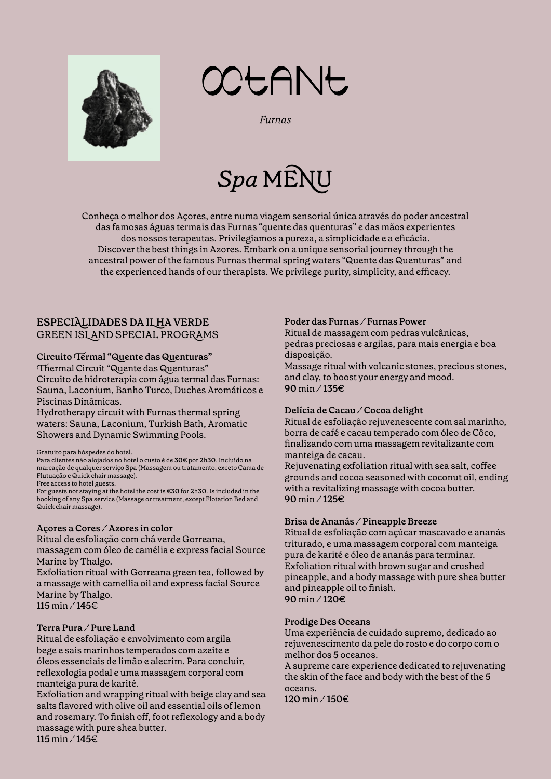



**Furnas** 

# *Spa* MENU

Conheça o melhor dos Açores, entre numa viagem sensorial única através do poder ancestral das famosas águas termais das Furnas "quente das quenturas" e das mãos experientes dos nossos terapeutas. Privilegiamos a pureza, a simplicidade e a eficácia. Discover the best things in Azores. Embark on a unique sensorial journey through the ancestral power of the famous Furnas thermal spring waters "Quente das Quenturas" and the experienced hands of our therapists. We privilege purity, simplicity, and efficacy.

# **ESPECIALIDADES DA ILHA VERDE** GREEN ISLAND SPECIAL PROGRAMS

#### **Circuito Termal "Quente das Quenturas"**

Thermal Circuit "Quente das Quenturas" Circuito de hidroterapia com água termal das Furnas: Sauna, Laconium, Banho Turco, Duches Aromáticos e Piscinas Dinâmicas.

Hydrotherapy circuit with Furnas thermal spring waters: Sauna, Laconium, Turkish Bath, Aromatic Showers and Dynamic Swimming Pools.

Gratuito para hóspedes do hotel.

Para clientes não alojados no hotel o custo é de **30**€ por **2**h**30**. Incluído na marcação de qualquer serviço Spa (Massagem ou tratamento, exceto Cama de Flutuação e Quick chair massage). Free access to hotel guests.

For guests not staying at the hotel the cost is €**30** for **2**h**30**. Is included in the booking of any Spa service (Massage or treatment, except Flotation Bed and Quick chair massage).

#### **Açores a Cores ⁄ Azores in color**

Ritual de esfoliação com chá verde Gorreana,

massagem com óleo de camélia e express facial Source Marine by Thalgo.

Exfoliation ritual with Gorreana green tea, followed by a massage with camellia oil and express facial Source Marine by Thalgo. **115** min ⁄ **145**€

#### **Terra Pura ⁄ Pure Land**

Ritual de esfoliação e envolvimento com argila bege e sais marinhos temperados com azeite e óleos essenciais de limão e alecrim. Para concluir, reflexologia podal e uma massagem corporal com manteiga pura de karité.

Exfoliation and wrapping ritual with beige clay and sea salts flavored with olive oil and essential oils of lemon and rosemary. To finish off, foot reflexology and a body massage with pure shea butter. **115** min ⁄ **145**€

#### **Poder das Furnas ⁄ Furnas Power**

Ritual de massagem com pedras vulcânicas, pedras preciosas e argilas, para mais energia e boa disposição.

Massage ritual with volcanic stones, precious stones, and clay, to boost your energy and mood. **90** min ⁄ **135**€

#### **Delícia de Cacau ⁄ Cocoa delight**

Ritual de esfoliação rejuvenescente com sal marinho, borra de café e cacau temperado com óleo de Côco, finalizando com uma massagem revitalizante com manteiga de cacau.

Rejuvenating exfoliation ritual with sea salt, coffee grounds and cocoa seasoned with coconut oil, ending with a revitalizing massage with cocoa butter. **90** min ⁄ **125**€

#### **Brisa de Ananás ⁄ Pineapple Breeze**

Ritual de esfoliação com açúcar mascavado e ananás triturado, e uma massagem corporal com manteiga pura de karité e óleo de ananás para terminar. Exfoliation ritual with brown sugar and crushed pineapple, and a body massage with pure shea butter and pineapple oil to finish. **90** min ⁄ **120**€

#### **Prodige Des Oceans**

Uma experiência de cuidado supremo, dedicado ao rejuvenescimento da pele do rosto e do corpo com o melhor dos **5** oceanos.

A supreme care experience dedicated to rejuvenating the skin of the face and body with the best of the **5**  oceans.

**120** min ⁄ **150**€